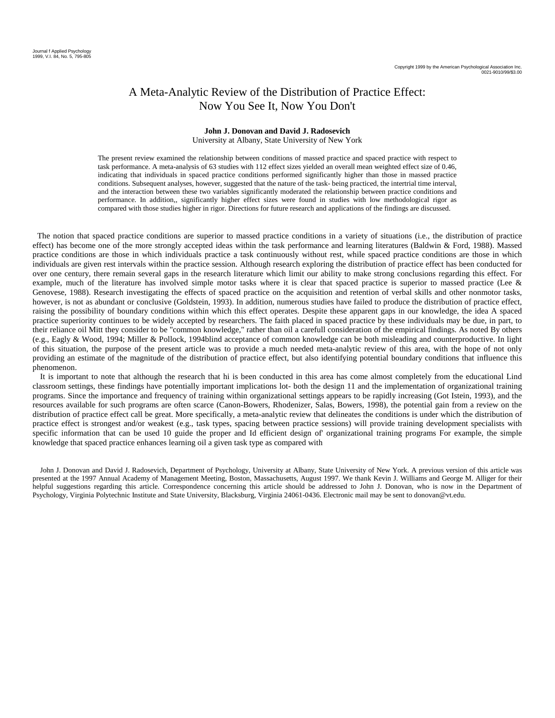# A Meta-Analytic Review of the Distribution of Practice Effect: Now You See It, Now You Don't

### **John J. Donovan and David J. Radosevich**

University at Albany, State University of New York

The present review examined the relationship between conditions of massed practice and spaced practice with respect to task performance. A meta-analysis of 63 studies with 112 effect sizes yielded an overall mean weighted effect size of 0.46, indicating that individuals in spaced practice conditions performed significantly higher than those in massed practice conditions. Subsequent analyses, however, suggested that the nature of the task- being practiced, the intertrial time interval, and the interaction between these two variables significantly moderated the relationship between practice conditions and performance. In addition,, significantly higher effect sizes were found in studies with low methodological rigor as compared with those studies higher in rigor. Directions for future research and applications of the findings are discussed.

 The notion that spaced practice conditions are superior to massed practice conditions in a variety of situations (i.e., the distribution of practice effect) has become one of the more strongly accepted ideas within the task performance and learning literatures (Baldwin & Ford, 1988). Massed practice conditions are those in which individuals practice a task continuously without rest, while spaced practice conditions are those in which individuals are given rest intervals within the practice session. Although research exploring the distribution of practice effect has been conducted for over one century, there remain several gaps in the research literature which limit our ability to make strong conclusions regarding this effect. For example, much of the literature has involved simple motor tasks where it is clear that spaced practice is superior to massed practice (Lee & Genovese, 1988). Research investigating the effects of spaced practice on the acquisition and retention of verbal skills and other nonmotor tasks, however, is not as abundant or conclusive (Goldstein, 1993). In addition, numerous studies have failed to produce the distribution of practice effect, raising the possibility of boundary conditions within which this effect operates. Despite these apparent gaps in our knowledge, the idea A spaced practice superiority continues to be widely accepted by researchers. The faith placed in spaced practice by these individuals may be due, in part, to their reliance oil Mitt they consider to be "common knowledge," rather than oil a carefull consideration of the empirical findings. As noted By others (e.g., Eagly & Wood, 1994; Miller & Pollock, 1994blind acceptance of common knowledge can be both misleading and counterproductive. In light of this situation, the purpose of the present article was to provide a much needed meta-analytic review of this area, with the hope of not only providing an estimate of the magnitude of the distribution of practice effect, but also identifying potential boundary conditions that influence this phenomenon.

It is important to note that although the research that hi is been conducted in this area has come almost completely from the educational Lind classroom settings, these findings have potentially important implications lot- both the design 11 and the implementation of organizational training programs. Since the importance and frequency of training within organizational settings appears to be rapidly increasing (Got Istein, 1993), and the resources available for such programs are often scarce (Canon-Bowers, Rhodenizer, Salas, Bowers, 1998), the potential gain from a review on the distribution of practice effect call be great. More specifically, a meta-analytic review that delineates the conditions is under which the distribution of practice effect is strongest and/or weakest (e.g., task types, spacing between practice sessions) will provide training development specialists with specific information that can be used 10 guide the proper and Id efficient design of' organizational training programs For example, the simple knowledge that spaced practice enhances learning oil a given task type as compared with

John J. Donovan and David J. Radosevich, Department of Psychology, University at Albany, State University of New York. A previous version of this article was presented at the 1997 Annual Academy of Management Meeting, Boston, Massachusetts, August 1997. We thank Kevin J. Williams and George M. Alliger for their helpful suggestions regarding this article. Correspondence concerning this article should be addressed to John J. Donovan, who is now in the Department of Psychology, Virginia Polytechnic Institute and State University, Blacksburg, Virginia 24061-0436. Electronic mail may be sent to donovan@vt.edu.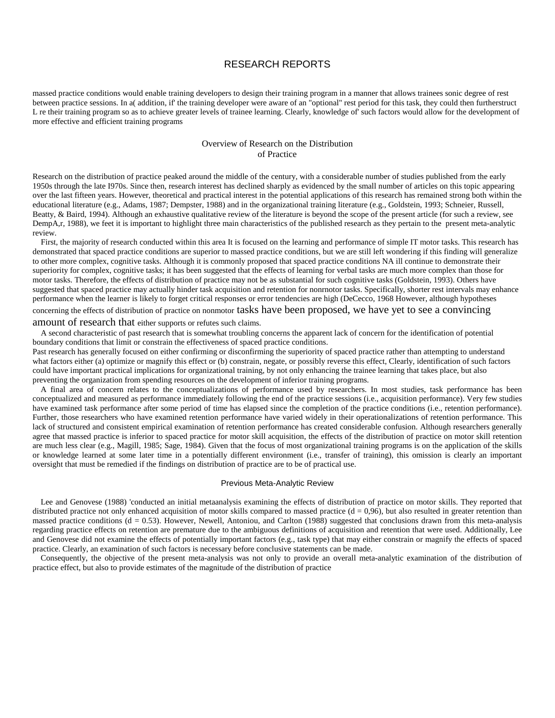massed practice conditions would enable training developers to design their training program in a manner that allows trainees sonic degree of rest between practice sessions. In a( addition, if' the training developer were aware of an "optional" rest period for this task, they could then furtherstruct L re their training program so as to achieve greater levels of trainee learning. Clearly, knowledge of' such factors would allow for the development of more effective and efficient training programs

## Overview of Research on the Distribution of Practice

Research on the distribution of practice peaked around the middle of the century, with a considerable number of studies published from the early 1950s through the late I970s. Since then, research interest has declined sharply as evidenced by the small number of articles on this topic appearing over the last fifteen years. However, theoretical and practical interest in the potential applications of this research has remained strong both within the educational literature (e.g., Adams, 1987; Dempster, 1988) and in the organizational training literature (e.g., Goldstein, 1993; Schneier, Russell, Beatty, & Baird, 1994). Although an exhaustive qualitative review of the literature is beyond the scope of the present article (for such a review, see DempA,r, 1988), we feet it is important to highlight three main characteristics of the published research as they pertain to the present meta-analytic review.

 First, the majority of research conducted within this area It is focused on the learning and performance of simple IT motor tasks. This research has demonstrated that spaced practice conditions are superior to massed practice conditions, but we are still left wondering if this finding will generalize to other more complex, cognitive tasks. Although it is commonly proposed that spaced practice conditions NA ill continue to demonstrate their superiority for complex, cognitive tasks; it has been suggested that the effects of learning for verbal tasks are much more complex than those for motor tasks. Therefore, the effects of distribution of practice may not be as substantial for such cognitive tasks (Goldstein, 1993). Others have suggested that spaced practice may actually hinder task acquisition and retention for nonrnotor tasks. Specifically, shorter rest intervals may enhance performance when the learner is likely to forget critical responses or error tendencies are high (DeCecco, 1968 However, although hypotheses concerning the effects of distribution of practice on nonmotor tasks have been proposed, we have yet to see a convincing

### amount of research that either supports or refutes such claims.

 A second characteristic of past research that is somewhat troubling concerns the apparent lack of concern for the identification of potential boundary conditions that limit or constrain the effectiveness of spaced practice conditions.

Past research has generally focused on either confirming or disconfirming the superiority of spaced practice rather than attempting to understand what factors either (a) optimize or magnify this effect or (b) constrain, negate, or possibly reverse this effect, Clearly, identification of such factors could have important practical implications for organizational training, by not only enhancing the trainee learning that takes place, but also preventing the organization from spending resources on the development of inferior training programs.

A final area of concern relates to the conceptualizations of performance used by researchers. In most studies, task performance has been conceptualized and measured as performance immediately following the end of the practice sessions (i.e., acquisition performance). Very few studies have examined task performance after some period of time has elapsed since the completion of the practice conditions (i.e., retention performance). Further, those researchers who have examined retention performance have varied widely in their operationalizations of retention performance. This lack of structured and consistent empirical examination of retention performance has created considerable confusion. Although researchers generally agree that massed practice is inferior to spaced practice for motor skill acquisition, the effects of the distribution of practice on motor skill retention are much less clear (e.g., Magill, 1985; Sage, 1984). Given that the focus of most organizational training programs is on the application of the skills or knowledge learned at some later time in a potentially different environment (i.e., transfer of training), this omission is clearly an important oversight that must be remedied if the findings on distribution of practice are to be of practical use.

### Previous Meta-Analytic Review

Lee and Genovese (1988) 'conducted an initial metaanalysis examining the effects of distribution of practice on motor skills. They reported that distributed practice not only enhanced acquisition of motor skills compared to massed practice  $(d = 0.96)$ , but also resulted in greater retention than massed practice conditions  $(d = 0.53)$ . However, Newell, Antoniou, and Carlton (1988) suggested that conclusions drawn from this meta-analysis regarding practice effects on retention are premature due to the ambiguous definitions of acquisition and retention that were used. Additionally, Lee and Genovese did not examine the effects of potentially important factors (e.g., task type) that may either constrain or magnify the effects of spaced practice. Clearly, an examination of such factors is necessary before conclusive statements can be made.

Consequently, the objective of the present meta-analysis was not only to provide an overall meta-analytic examination of the distribution of practice effect, but also to provide estimates of the magnitude of the distribution of practice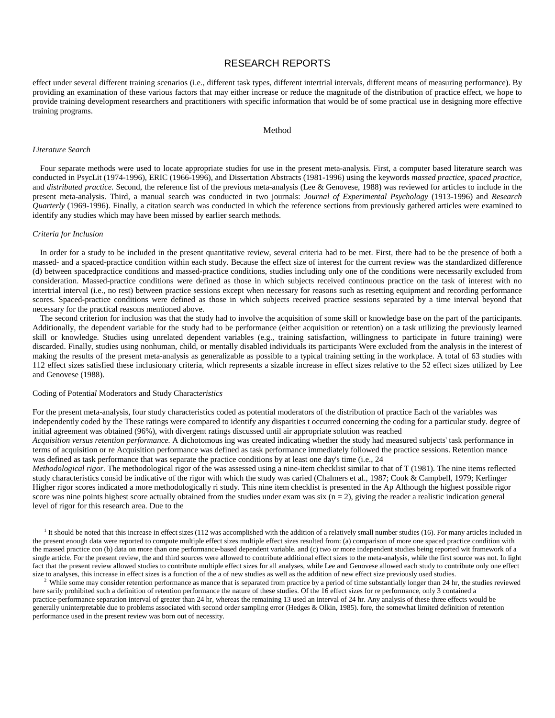effect under several different training scenarios (i.e., different task types, different intertrial intervals, different means of measuring performance). By providing an examination of these various factors that may either increase or reduce the magnitude of the distribution of practice effect, we hope to provide training development researchers and practitioners with specific information that would be of some practical use in designing more effective training programs.

### Method

#### *Literature Search*

Four separate methods were used to locate appropriate studies for use in the present meta-analysis. First, a computer based literature search was conducted in PsycLit (1974-1996), ERIC (1966-1996), and Dissertation Abstracts (1981-1996) using the keywords *massed practice, spaced practice,*  and *distributed practice.* Second, the reference list of the previous meta-analysis (Lee & Genovese, 1988) was reviewed for articles to include in the present meta-analysis. Third, a manual search was conducted in two journals: *Journal of Experimental Psychology* (1913-1996) and *Research Quarterly* (1969-1996). Finally, a citation search was conducted in which the reference sections from previously gathered articles were examined to identify any studies which may have been missed by earlier search methods.

#### *Criteria for Inclusion*

In order for a study to be included in the present quantitative review, several criteria had to be met. First, there had to be the presence of both a massed- and a spaced-practice condition within each study. Because the effect size of interest for the current review was the standardized difference (d) between spacedpractice conditions and massed-practice conditions, studies including only one of the conditions were necessarily excluded from consideration. Massed-practice conditions were defined as those in which subjects received continuous practice on the task of interest with no intertrial interval (i.e., no rest) between practice sessions except when necessary for reasons such as resetting equipment and recording performance scores. Spaced-practice conditions were defined as those in which subjects received practice sessions separated by a time interval beyond that necessary for the practical reasons mentioned above.

The second criterion for inclusion was that the study had to involve the acquisition of some skill or knowledge base on the part of the participants. Additionally, the dependent variable for the study had to be performance (either acquisition or retention) on a task utilizing the previously learned skill or knowledge. Studies using unrelated dependent variables (e.g., training satisfaction, willingness to participate in future training) were discarded. Finally, studies using nonhuman, child, or mentally disabled individuals its participants Were excluded from the analysis in the interest of making the results of the present meta-analysis as generalizable as possible to a typical training setting in the workplace. A total of 63 studies with 112 effect sizes satisfied these inclusionary criteria, which represents a sizable increase in effect sizes relative to the 52 effect sizes utilized by Lee and Genovese (1988).

### Coding of Potentia*l* Moderators and Study Charact*eristics*

For the present meta-analysis, four study characteristics coded as potential moderators of the distribution of practice Each of the variables was independently coded by the These ratings were compared to identify any disparities t occurred concerning the coding for a particular study. degree of initial agreement was obtained (96%), with divergent ratings discussed until air appropriate solution was reached

*Acquisition versus retention performance.* A dichotomous ing was created indicating whether the study had measured subjects' task performance in terms of acquisition or re Acquisition performance was defined as task performance immediately followed the practice sessions. Retention mance was defined as task performance that was separate the practice conditions by at least one day's time (i.e., 24

*Methodological rigor.* The methodological rigor of the was assessed using a nine-item checklist similar to that of T (1981). The nine items reflected study characteristics consid be indicative of the rigor with which the study was caried (Chalmers et al., 1987; Cook & Campbell, 1979; Kerlinger Higher rigor scores indicated a more methodologically ri study. This nine item checklist is presented in the Ap Although the highest possible rigor score was nine points highest score actually obtained from the studies under exam was six  $(n = 2)$ , giving the reader a realistic indication general level of rigor for this research area. Due to the

<sup>1</sup> It should be noted that this increase in effect sizes (112 was accomplished with the addition of a relatively small number studies (16). For many articles included in the present enough data were reported to compute multiple effect sizes multiple effect sizes resulted from: (a) comparison of more one spaced practice condition with the massed practice con (b) data on more than one performance-based dependent variable. and (c) two or more independent studies being reported wit framework of a single article. For the present review, the and third sources were allowed to contribute additional effect sizes to the meta-analysis, while the first source was not. In light fact that the present review allowed studies to contribute multiple effect sizes for all analyses, while Lee and Genovese allowed each study to contribute only one effect size to analyses, this increase in effect sizes is

<sup>2</sup> While some may consider retention performance as mance that is separated from practice by a period of time substantially longer than 24 hr, the studies reviewed here sarily prohibited such a definition of retention performance the nature of these studies. Of the 16 effect sizes for re performance, only 3 contained a practice-performance separation interval of greater than 24 hr, whereas the remaining 13 used an interval of 24 hr. Any analysis of these three effects would be generally uninterpretable due to problems associated with second order sampling error (Hedges & Olkin, 1985). fore, the somewhat limited definition of retention performance used in the present review was born out of necessity.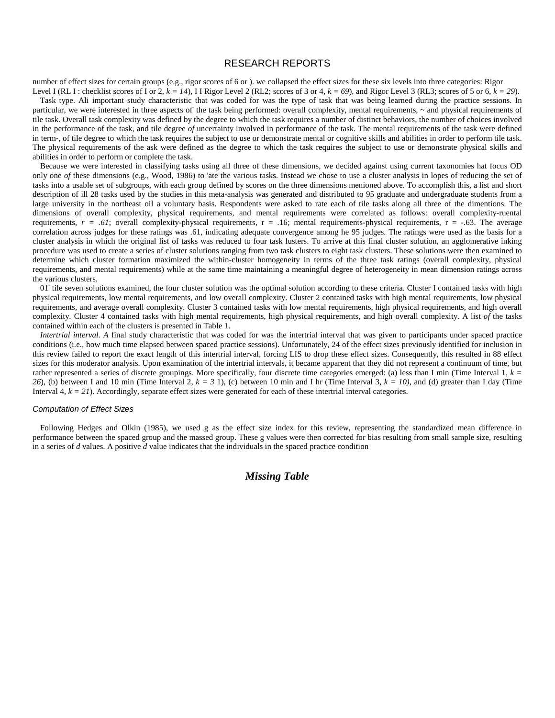number of effect sizes for certain groups (e.g., rigor scores of 6 or ). we collapsed the effect sizes for these six levels into three categories: Rigor Level I (RL I : checklist scores of I or 2,  $k = 14$ ), I I Rigor Level 2 (RL2; scores of 3 or 4,  $k = 69$ ), and Rigor Level 3 (RL3; scores of 5 or 6,  $k = 29$ ).

Task type. Ali important study characteristic that was coded for was the type of task that was being learned during the practice sessions. In particular, we were interested in three aspects of the task being performed: overall complexity, mental requirements,  $\sim$  and physical requirements of tile task. Overall task complexity was defined by the degree to which the task requires a number of distinct behaviors, the number of choices involved in the performance of the task, and tile degree *of* uncertainty involved in performance of the task. The mental requirements of the task were defined in term-, of tile degree to which the task requires the subject to use or demonstrate mental or cognitive skills and abilities in order to perform tile task. The physical requirements of the ask were defined as the degree to which the task requires the subject to use or demonstrate physical skills and abilities in order to perform or complete the task.

Because we were interested in classifying tasks using all three of these dimensions, we decided against using current taxonomies hat focus OD only one *of* these dimensions (e.g., Wood, 1986) to 'ate the various tasks. Instead we chose to use a cluster analysis in lopes of reducing the set of tasks into a usable set of subgroups, with each group defined by scores on the three dimensions menioned above. To accomplish this, a list and short description of ill 28 tasks used by the studies in this meta-analysis was generated and distributed to 95 graduate and undergraduate students from a large university in the northeast oil a voluntary basis. Respondents were asked to rate each of tile tasks along all three of the dimentions. The dimensions of overall complexity, physical requirements, and mental requirements were correlated as follows: overall complexity-ruental requirements,  $r = .61$ ; overall complexity-physical requirements,  $r = .16$ ; mental requirements-physical requirements,  $r = .63$ . The average correlation across judges for these ratings was .61, indicating adequate convergence among he 95 judges. The ratings were used as the basis for a cluster analysis in which the original list of tasks was reduced to four task lusters. To arrive at this final cluster solution, an agglomerative inking procedure was used to create a series of cluster solutions ranging from two task clusters to eight task clusters. These solutions were then examined to determine which cluster formation maximized the within-cluster homogeneity in terms of the three task ratings (overall complexity, physical requirements, and mental requirements) while at the same time maintaining a meaningful degree of heterogeneity in mean dimension ratings across the various clusters.

01' tile seven solutions examined, the four cluster solution was the optimal solution according to these criteria. Cluster I contained tasks with high physical requirements, low mental requirements, and low overall complexity. Cluster 2 contained tasks with high mental requirements, low physical requirements, and average overall complexity. Cluster 3 contained tasks with low mental requirements, high physical requirements, and high overall complexity. Cluster 4 contained tasks with high mental requirements, high physical requirements, and high overall complexity. A list *of* the tasks contained within each of the clusters is presented in Table 1.

*Intertrial interval. A* final study characteristic that was coded for was the intertrial interval that was given to participants under spaced practice conditions (i.e., how much time elapsed between spaced practice sessions). Unfortunately, 24 of the effect sizes previously identified for inclusion in this review failed to report the exact length of this intertrial interval, forcing LIS to drop these effect sizes. Consequently, this resulted in 88 effect sizes for this moderator analysis. Upon examination of the intertrial intervals, it became apparent that they did not represent a continuum of time, but rather represented a series of discrete groupings. More specifically, four discrete time categories emerged: (a) less than I min (Time Interval 1, *k =*  26), (b) between I and 10 min (Time Interval 2,  $k = 3$  1), (c) between 10 min and I hr (Time Interval 3,  $k = 10$ ), and (d) greater than I day (Time Interval  $4, k = 2I$ ). Accordingly, separate effect sizes were generated for each of these intertrial interval categories.

### *Computation of Effect Sizes*

Following Hedges and Olkin (1985), we used g as the effect size index for this review, representing the standardized mean difference in performance between the spaced group and the massed group. These g values were then corrected for bias resulting from small sample size, resulting in a series of *d* values. A positive *d* value indicates that the individuals in the spaced practice condition

## *Missing Table*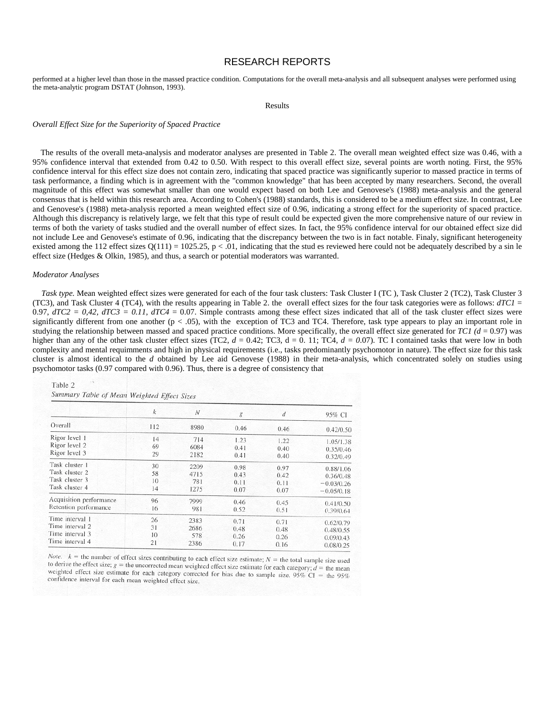performed at a higher level than those in the massed practice condition. Computations for the overall meta-analysis and all subsequent analyses were performed using the meta-analytic program DSTAT (Johnson, 1993).

#### Results

*Overall Effect Size for the Superiority of Spaced Practice* 

The results of the overall meta-analysis and moderator analyses are presented in Table 2. The overall mean weighted effect size was 0.46, with a 95% confidence interval that extended from 0.42 to 0.50. With respect to this overall effect size, several points are worth noting. First, the 95% confidence interval for this effect size does not contain zero, indicating that spaced practice was significantly superior to massed practice in terms of task performance, a finding which is in agreement with the "common knowledge" that has been accepted by many researchers. Second, the overall magnitude of this effect was somewhat smaller than one would expect based on both Lee and Genovese's (1988) meta-analysis and the general consensus that is held within this research area. According to Cohen's (1988) standards, this is considered to be a medium effect size. In contrast, Lee and Genovese's (1988) meta-analysis reported a mean weighted effect size of 0.96, indicating a strong effect for the superiority of spaced practice. Although this discrepancy is relatively large, we felt that this type of result could be expected given the more comprehensive nature of our review in terms of both the variety of tasks studied and the overall number of effect sizes. In fact, the 95% confidence interval for our obtained effect size did not include Lee and Genovese's estimate of 0.96, indicating that the discrepancy between the two is in fact notable. Finaly, significant heterogeneity existed among the 112 effect sizes  $Q(111) = 1025.25$ ,  $p < .01$ , indicating that the stud es reviewed here could not be adequately described by a sin le effect size (Hedges & Olkin, 1985), and thus, a search or potential moderators was warranted.

#### *Moderator Analyses*

*Task type.* Mean weighted effect sizes were generated for each of the four task clusters: Task Cluster I (TC ), Task Cluster 2 (TC2), Task Cluster 3 (TC3), and Task Cluster 4 (TC4), with the results appearing in Table 2. the overall effect sizes for the four task categories were as follows: *dTC1* = 0.97,  $\frac{dTC2}{dTC3} = 0.42$ ,  $\frac{dTC3}{dTC4} = 0.07$ . Simple contrasts among these effect sizes indicated that all of the task cluster effect sizes were significantly different from one another ( $p < .05$ ), with the exception of TC3 and TC4. Therefore, task type appears to play an important role in studying the relationship between massed and spaced practice conditions. More specifically, the overall effect size generated for  $TC1$  ( $d = 0.97$ ) was higher than any of the other task cluster effect sizes (TC2,  $d = 0.42$ ; TC3,  $d = 0.11$ ; TC4,  $d = 0.07$ ). TC I contained tasks that were low in both complexity and mental requimments and high in physical requirements (i.e., tasks predominantly psychomotor in nature). The effect size for this task cluster is almost identical to the *d* obtained by Lee aid Genovese (1988) in their meta-analysis, which concentrated solely on studies using psychomotor tasks (0.97 compared with 0.96). Thus, there is a degree of consistency that

#### Table 2

Summary Table of Mean Weighted Effect Sizes

|                                                                          | $\boldsymbol{k}$ | N    | g    | d    | 95% CI       |
|--------------------------------------------------------------------------|------------------|------|------|------|--------------|
| Overall                                                                  | 112              | 8980 | 0.46 | 0.46 | 0.42/0.50    |
| Rigor level 1<br>Rigor level 2<br>Rigor level 3                          | 14               | 714  | 1.23 | 1.22 | 1.05/1.38    |
|                                                                          | 69               | 6084 | 0.41 | 0.40 | 0.35/0.46    |
|                                                                          | 29               | 2182 | 0.41 | 0.40 | 0.32/0.49    |
| Task cluster 1<br>Task cluster 2<br>Task cluster 3<br>Task cluster 4     | 30               | 2209 | 0.98 | 0.97 | 0.88/1.06    |
|                                                                          | 58               | 4715 | 0.43 | 0.42 | 0.36/0.48    |
|                                                                          | 10               | 781  | 0.11 | 0.11 | $-0.03/0.26$ |
|                                                                          | 14               | 1275 | 0.07 | 0.07 | $-0.05/0.18$ |
| Acquisition performance<br>Retention performance                         | 96               | 7999 | 0.46 | 0.45 | 0.41/0.50    |
|                                                                          | 16               | 981  | 0.52 | 0.51 | 0.39/0.64    |
| Time interval 1<br>Time interval 2<br>Time interval 3<br>Time interval 4 | 26               | 2383 | 0.71 | 0.71 | 0.62/0.79    |
|                                                                          | 31               | 2686 | 0.48 | 0.48 | 0.48/0.55    |
|                                                                          | 10               | 578  | 0.26 | 0.26 | 0.09/0.43    |
|                                                                          | 21               | 2386 | 0.17 | 0.16 | 0.08/0.25    |

*Note.*  $k =$  the number of effect sizes contributing to each effect size estimate;  $N =$  the total sample size used to derive the effect size;  $g =$  the uncorrected mean weighted effect size estimate;  $N =$  the total sample size used<br>weighted effect size estimate for each category;  $d =$  the mean weighted effect size estimate for each case weighted effect size is summarized to each category;  $a =$  the mean confidence interval for each mean weighted effect size.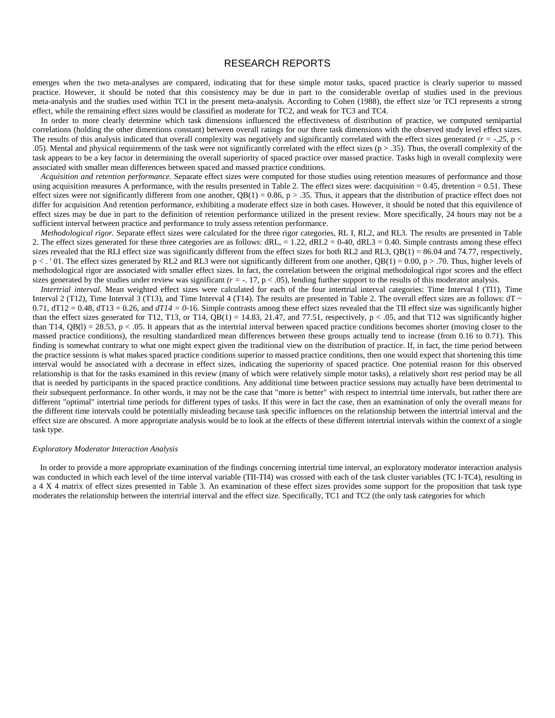emerges when the two meta-analyses are compared, indicating that for these simple motor tasks, spaced practice is clearly superior to massed practice. However, it should be noted that this consistency may be due in part to the considerable overlap of studies used in the previous meta-analysis and the studies used within TCI in the present meta-analysis. According to Cohen (1988), the effect size 'or TCI represents a strong effect, while the remaining effect sizes would be classified as moderate for TC2, and weak for TC3 and TC4.

 In order to more clearly determine which task dimensions influenced the effectiveness of distribution of practice, we computed semipartial correlations (holding the other dimentions constant) between overall ratings for our three task dimensions with the observed study level effect sizes. The results of this analysis indicated that overall complexity was negatively and significantly correlated with the effect sizes generated  $(r = -.25, p <$ .05). Mental and physical requirements of the task were not significantly correlated with the effect sizes ( $p > .35$ ). Thus, the overall complexity of the task appears to be a key factor in determining the overall superiority of spaced practice over massed practice. Tasks high in overall complexity were associated with smaller mean differences between spaced and massed practice conditions.

 *Acquisition and retention performance.* Separate effect sizes were computed for those studies using retention measures of performance and those using acquisition measures A performance, with the results presented in Table 2. The effect sizes were: dacquisition  $= 0.45$ , dretention  $= 0.51$ . These effect sizes were not significantly different from one another,  $QB(1) = 0.86$ ,  $p > .35$ . Thus, it appears that the distribution of practice effect does not differ for acquisition And retention performance, exhibiting a moderate effect size in both cases. However, it should be noted that this equivilence of effect sizes may be due in part to the definition of retention performance utilized in the present review. More specifically, 24 hours may not be a sufficient interval between practice and performance to truly assess retention performance.

 *Methodological rigor.* Separate effect sizes were calculated for the three rigor categories, RL I, RL2, and RL3. The results are presented in Table 2. The effect sizes generated for these three categories are as follows:  $dRL = 1.22$ ,  $dRL = 0.40$ ,  $dRL = 0.40$ . Simple contrasts among these effect sizes revealed that the RLI effect size was significantly different from the effect sizes for both RL2 and RL3,  $QB(1) = 86.04$  and 74.77, respectively,  $p <$ . '01. The effect sizes generated by RL2 and RL3 were not significantly different from one another, QB(1) = 0.00, p > .70. Thus, higher levels of methodological rigor are associated with smaller effect sizes. In fact, the correlation between the original methodological rigor scores and the effect sizes generated by the studies under review was significant  $(r = -1.17, p < .05)$ , lending further support to the results of this moderator analysis.

 *Intertrial interval.* Mean weighted effect sizes were calculated for each of the four intertrial interval categories: Time Interval I (TI1), Time Interval 2 (T12), Time Interval 3 (T13), and Time Interval 4 (T14). The results are presented in Table 2. The overall effect sizes are as follows:  $dT \sim$  $0.71$ ,  $dT12 = 0.48$ ,  $dT13 = 0.26$ , and  $dT14 = 0.16$ . Simple contrasts among these effect sizes revealed that the TII effect size was significantly higher than the effect sizes generated for T12, T13, or T14, QB(1) = 14.83, 21.47, and 77.51, respectively,  $p < .05$ , and that T12 was significantly higher than T14, QB(l) = 28.53,  $p < 0.05$ . It appears that as the intertrial interval between spaced practice conditions becomes shorter (moving closer to the massed practice conditions), the resulting standardized mean differences between these groups actually tend to increase (from 0.16 to 0.71). This finding is somewhat contrary to what one might expect given the traditional view on the distribution of practice. If, in fact, the time period between the practice sessions is what makes spaced practice conditions superior to massed practice conditions, then one would expect that shortening this time interval would be associated with a decrease in effect sizes, indicating the superiority of spaced practice. One potential reason for this observed relationship is that for the tasks examined in this review (many of which were relatively simple motor tasks), a relatively short rest period may be all that is needed by participants in the spaced practice conditions. Any additional time between practice sessions may actually have been detrimental to their subsequent performance. In other words, it may not be the case that "more is better" with respect to intertrial time intervals, but rather there are different "optimal" intertrial time periods for different types of tasks. If this were in fact the case, then an examination of only the overall means for the different time intervals could be potentially misleading because task specific influences on the relationship between the intertrial interval and the effect size are obscured. A more appropriate analysis would be to look at the effects of these different intertrial intervals within the context of a single task type.

#### *Exploratory Moderator Interaction Analysis*

In order to provide a more appropriate examination of the findings concerning intertrial time interval, an exploratory moderator interaction analysis was conducted in which each level of the time interval variable (TII-TI4) was crossed with each of the task cluster variables (TC I-TC4), resulting in a 4 X 4 matrix of effect sizes presented in Table 3. An examination of these effect sizes provides some support for the proposition that task type moderates the relationship between the intertrial interval and the effect size. Specifically, TC1 and TC2 (the only task categories for which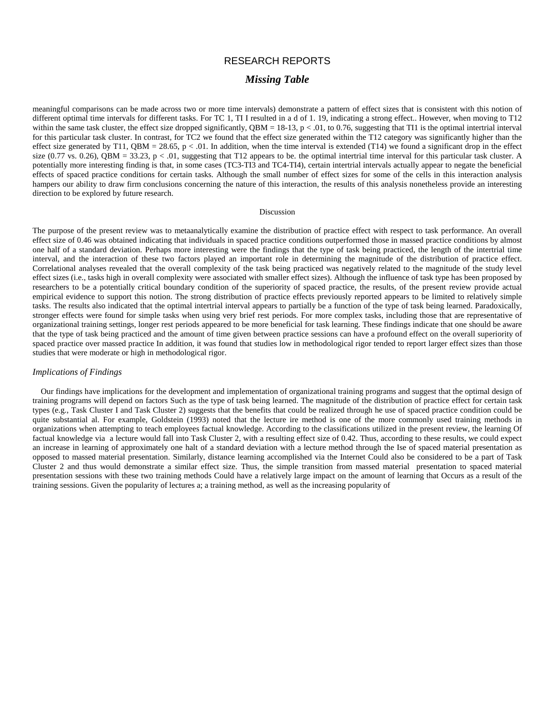# *Missing Table*

meaningful comparisons can be made across two or more time intervals) demonstrate a pattern of effect sizes that is consistent with this notion of different optimal time intervals for different tasks. For TC 1, TI I resulted in a d of 1. 19, indicating a strong effect.. However, when moving to T12 within the same task cluster, the effect size dropped significantly, QBM =  $18-13$ , p < .01, to 0.76, suggesting that TI1 is the optimal intertrial interval for this particular task cluster. In contrast, for TC2 we found that the effect size generated within the T12 category was significantly higher than the effect size generated by T11, OBM = 28.65,  $p < .01$ . In addition, when the time interval is extended (T14) we found a significant drop in the effect size (0.77 vs. 0.26), QBM = 33.23, p < .01, suggesting that T12 appears to be. the optimal intertrial time interval for this particular task cluster. A potentially more interesting finding is that, in some cases (TC3-TI3 and TC4-TI4), certain intertrial intervals actually appear to negate the beneficial effects of spaced practice conditions for certain tasks. Although the small number of effect sizes for some of the cells in this interaction analysis hampers our ability to draw firm conclusions concerning the nature of this interaction, the results of this analysis nonetheless provide an interesting direction to be explored by future research.

#### Discussion

The purpose of the present review was to metaanalytically examine the distribution of practice effect with respect to task performance. An overall effect size of 0.46 was obtained indicating that individuals in spaced practice conditions outperformed those in massed practice conditions by almost one half of a standard deviation. Perhaps more interesting were the findings that the type of task being practiced, the length of the intertrial time interval, and the interaction of these two factors played an important role in determining the magnitude of the distribution of practice effect. Correlational analyses revealed that the overall complexity of the task being practiced was negatively related to the magnitude of the study level effect sizes (i.e., tasks high in overall complexity were associated with smaller effect sizes). Although the influence of task type has been proposed by researchers to be a potentially critical boundary condition of the superiority of spaced practice, the results, of the present review provide actual empirical evidence to support this notion. The strong distribution of practice effects previously reported appears to be limited to relatively simple tasks. The results also indicated that the optimal intertrial interval appears to partially be a function of the type of task being learned. Paradoxically, stronger effects were found for simple tasks when using very brief rest periods. For more complex tasks, including those that are representative of organizational training settings, longer rest periods appeared to be more beneficial for task learning. These findings indicate that one should be aware that the type of task being practiced and the amount of time given between practice sessions can have a profound effect on the overall superiority of spaced practice over massed practice In addition, it was found that studies low in methodological rigor tended to report larger effect sizes than those studies that were moderate or high in methodological rigor.

### *Implications of Findings*

 Our findings have implications for the development and implementation of organizational training programs and suggest that the optimal design of training programs will depend on factors Such as the type of task being learned. The magnitude of the distribution of practice effect for certain task types (e.g., Task Cluster I and Task Cluster 2) suggests that the benefits that could be realized through he use of spaced practice condition could be quite substantial al. For example, Goldstein (1993) noted that the lecture ire method is one of the more commonly used training methods in organizations when attempting to teach employees factual knowledge. According to the classifications utilized in the present review, the learning Of factual knowledge via a lecture would fall into Task Cluster 2, with a resulting effect size of 0.42. Thus, according to these results, we could expect an increase in learning of approximately one halt of a standard deviation with a lecture method through the Ise of spaced material presentation as opposed to massed material presentation. Similarly, distance learning accomplished via the Internet Could also be considered to be a part of Task Cluster 2 and thus would demonstrate a similar effect size. Thus, the simple transition from massed material presentation to spaced material presentation sessions with these two training methods Could have a relatively large impact on the amount of learning that Occurs as a result of the training sessions. Given the popularity of lectures a; a training method, as well as the increasing popularity of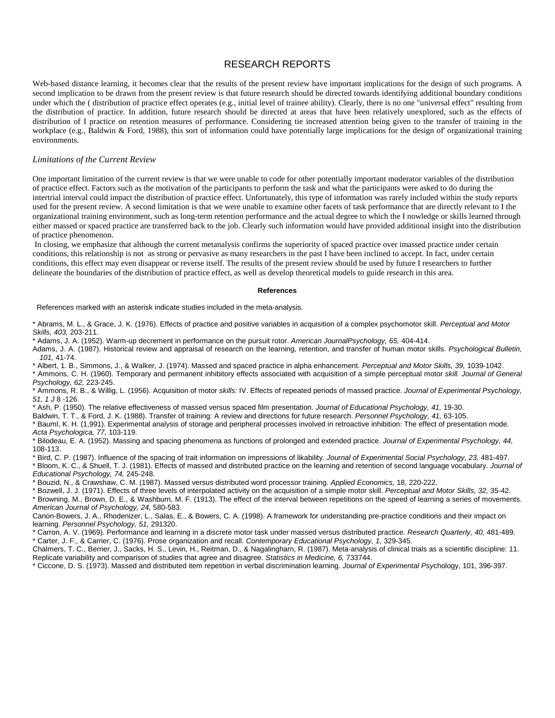Web-based distance learning, it becomes clear that the results of the present review have important implications for the design of such programs. A second implication to be drawn from the present review is that future research should be directed towards identifying additional boundary conditions under which the ( distribution of practice effect operates (e.g., initial level of trainee ability). Clearly, there is no one "universal effect" resulting from the distribution of practice. In addition, future research should be directed at areas that have been relatively unexplored, such as the effects of distribution of I practice on retention measures of performance. Considering tie increased attention being given to the transfer of training in the workplace (e.g., Baldwin & Ford, 1988), this sort of information could have potentially large implications for the design of organizational training environments.

### *Limitations of the Current Review*

One important limitation of the current review is that we were unable to code for other potentially important moderator variables of the distribution of practice effect. Factors such as the motivation of the participants to perform the task and what the participants were asked to do during the intertrial interval could impact the distribution of practice effect. Unfortunately, this type of information was rarely included within the study reports used for the present review. A second limitation is that we were unable to examine other facets of task performance that are directly relevant to I the organizational training environment, such as long-term retention performance and the actual degree to which the I nowledge or skills learned through either massed or spaced practice are transferred back to the job. Clearly such information would have provided additional insight into the distribution of practice phenomenon.

 In closing, we emphasize that although the current metanalysis confirms the superiority of spaced practice over imassed practice under certain conditions, this relationship is not as strong or pervasive as many researchers in the past I have been inclined to accept. In fact, under certain conditions, this effect may even disappear or reverse itself. The results of the present review should be used by future I researchers to further delineate the boundaries of the distribution of practice effect, as well as develop theoretical models to guide research in this area.

#### **References**

References marked with an asterisk indicate studies included in the meta-analysis.

\* Abrams, M. L., & Grace, J. K. (1976). Effects of practice and positive variables in acquisition of a complex psychomotor skill. *Perceptual and Motor Skills, 403,* 203-211.

\* Adams, J. A. (1952). Warm-up decrement in performance on the pursuit rotor. *American JournalPsychology, 65,* 404-414.

Adams, J. A. (1987). Historical review and appraisal of research on the learning, retention, and transfer of human motor skills. *Psychological Bulletin, 101,* 41-74.

\* Albert, 1. B., Simmons, J., & Walker, J. (1974). Massed and spaced practice in alpha enhancement. *Perceptual and Motor Skills, 39,* 1039-1042. \* Ammons, C. H. (1960). Temporary and permanent inhibitory effects associated with acquisition of a simple perceptual motor *skill. Journal of General Psychology, 62,* 223-245.

\* Ammons, R. B., & Willig, L. (1956). Acquisition of motor *skills:* IV. Effects of repeated periods of massed practice. *Journal of Experimental Psychology, 51, 1 J* 8 -126.

\* Ash, P. (1950). The relative effectiveness of massed versus spaced film presentation. *Journal of Educational Psychology, 41,* 19-30.

Baldwin, T. T., & Ford, J. K. (1988). Transfer of training: A review and directions for future research. *Personnel Psychology, 41,* 63-105.

\* Bauml, K. H. (1,991). Experimental analysis of storage and peripheral processes involved in retroactive inhibition: The effect of presentation mode. *Acta Psychologica, 77,* 103-119.

\* Bilodeau, E. A. (1952). Massing and spacing phenomena as functions of prolonged and extended practice. *Journal of Experimental Psychology, 44,*  108-113.

\* Bird, C. P. (1987). Influence of the spacing of trait information on impressions of likability. *Journal of Experimental Social Psychology, 23,* 481-497.

\* Bloom, K. C., & Shuell, T. J. (1981). Effects of massed and distributed practice on the learning and retention of second language vocabulary. *Journal of Educational Psychology, 74,* 245-248.

\* Bouzid, N., & Crawshaw, C. M. (1987). Massed versus distributed word processor training. *Applied Economics,* 18, 220-222.

\* Bozwell, J. J. (1971). Effects of three levels of interpolated activity on the acquisition of a simple motor skill. *Perceptual and Motor Skills, 32,* 35-42. \* Browning, M., Brown, D. E., & Washburn, M. F. (1913). The effect of the interval between repetitions on the speed of learning a series of movements. *American Journal of Psychology, 24,* 580-583.

Canon-Bowers, J. A., Rhodenizer, L., Salas, E., & Bowers, C. A. (1998). A framework for understanding pre-practice conditions and their impact on learning. *Personnel Psychology, 51,* 291320.

\* Carron, A. V. (1969). Performance and learning in a discrete motor task under massed versus distributed practice. *Research Quarterly, 40,* 481-489. \* Carter, J. F., & Carrier, C. (1976). Prose organization and recall. *Contemporary Educational Psychology, 1,* 329-345.

Chalmers, T. C., Berrier, J., Sacks, H. S., Levin, H., Reitman, D., & Nagalingharn, R. (1987). Meta-analysis of clinical trials as a scientific discipline: 11. Replicate variability and comparison of studies that agree and disagree. *Statistics in Medicine, 6,* 733744.

\* Ciccone, D. S. (1973). Massed and distributed item repetition in verbal discrimination learning. *Journal of Experimental Psy*chology, 101, 396-397.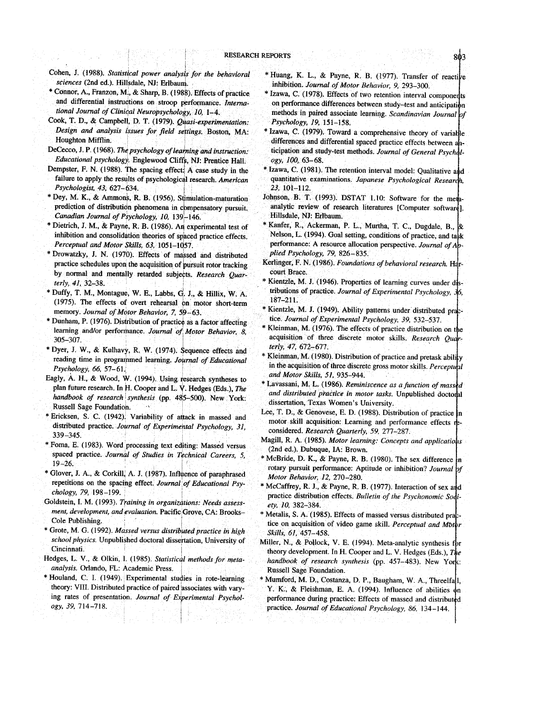- Cohen, J. (1988). Statistical power analysis for the behavioral sciences (2nd ed.). Hillsdale, NJ: Erlbaum.
- Connor, A., Franzon, M., & Sharp, B. (1988). Effects of practice and differential instructions on stroop performance. International Journal of Clinical Neuropsychology, 10, 1-4.
- Cook, T. D., & Campbell, D. T. (1979). Quasi-experimentation: Design and analysis issues for field settings. Boston, MA: Houghton Mifflin.
- DeCecco, J. P. (1968). The psychology of learning and instruction: Educational psychology. Englewood Cliffs, NJ: Prentice Hall.
- Dempster, F. N. (1988). The spacing effect: A case study in the failure to apply the results of psychological research. American Psychologist, 43, 627-634.
- \* Dey, M. K., & Ammons, R. B. (1956). Stimulation-maturation prediction of distribution phenomena in compensatory pursuit. Canadian Journal of Psychology, 10, 139-146.
- \* Dietrich, J. M., & Payne, R. B. (1986). An experimental test of inhibition and consolidation theories of spaced practice effects. Perceptual and Motor Skills, 63, 1051-1057.
- \* Drowatzky, J. N. (1970). Effects of massed and distributed practice schedules upon the acquisition of pursuit rotor tracking by normal and mentally retarded subjects. Research Quarterly. 41. 32-38.
- \* Duffy, T. M., Montague, W. E., Labbs, G. J., & Hillix, W. A. (1975). The effects of overt rehearsal on motor short-term memory. Journal of Motor Behavior, 7, 59-63.
- Dunham, P. (1976). Distribution of practice as a factor affecting learning and/or performance. Journal of Motor Behavior, 8, 305-307
- \* Dyer, J. W., & Kulhavy, R. W. (1974). Sequence effects and reading time in programmed learning. Journal of Educational Psychology, 66, 57-61.
- Eagly, A. H., & Wood, W. (1994). Using research syntheses to plan future research. In H. Cooper and L. V. Hedges (Eds.), The handbook of research synthesis (pp. 485-500). New York: Russell Sage Foundation.
- Ericksen, S. C. (1942). Variability of attack in massed and distributed practice. Journal of Experimental Psychology, 31,  $339 - 345$
- \* Foma, E. (1983). Word processing text editing: Massed versus spaced practice. Journal of Studies in Technical Careers, 5,  $19 - 26.$
- \* Glover, J. A., & Corkill, A. J. (1987). Influence of paraphrased repetitions on the spacing effect. Journal of Educational Psychology, 79, 198-199.
- Goldstein, I. M. (1993). Training in organizations: Needs assessment, development, and evaluation. Pacific Grove, CA: Brooks-Cole Publishing.
- \* Grote, M. G. (1992). Massed versus distributed practice in high school physics. Unpublished doctoral dissertation, University of Cincinnati.
- Hedges, L. V., & Olkin, I. (1985). Statistical methods for metaanalysis. Orlando, FL: Academic Press.
- \* Houland, C. I. (1949). Experimental studies in rote-learning theory: VIII. Distributed practice of paired associates with varying rates of presentation. Journal of Experimental Psychology, 39, 714-718.
- \* Huang, K. L., & Payne, R. B. (1977). Transfer of reactive inhibition. Journal of Motor Behavior, 9, 293-300.
- \* Izawa, C. (1978). Effects of two retention interval componerts on performance differences between study-test and anticipation methods in paired associate learning. Scandinavian Journal Psychology, 19, 151-158.
- \* Izawa, C. (1979). Toward a comprehensive theory of variable differences and differential spaced practice effects between anticipation and study-test methods. Journal of General Psychology, 100, 63-68.
- \* Izawa, C. (1981). The retention interval model: Qualitative and quantitative examinations. Japanese Psychological Research. 23. 101-112.
- Johnson, B. T. (1993). DSTAT 1.10: Software for the metaanalytic review of research literatures [Computer softward]. Hillsdale, NJ: Erlbaum.
- Kanfer, R., Ackerman, P. L., Murtha, T. C., Dugdale, B., Nelson, L. (1994). Goal setting, conditions of practice, and task performance: A resource allocation perspective. Journal of Abplied Psychology, 79, 826-835.
- Kerlinger, F. N. (1986). Foundations of behavioral research. Harcourt Brace.
- \* Kientzle, M. J. (1946). Properties of learning curves under distributions of practice. Journal of Experimental Psychology, 36,  $187 - 211$
- \* Kientzle, M. J. (1949). Ability patterns under distributed pra tice. Journal of Experimental Psychology, 39, 532-537.
- \* Kleinman, M. (1976). The effects of practice distribution on the acquisition of three discrete motor skills. Research Quarterly, 47, 672-677.
- \* Kleinman, M. (1980). Distribution of practice and pretask ability in the acquisition of three discrete gross motor skills. Perceptual and Motor Skills, 51, 935-944.
- \* Lavassani, M. L. (1986). Reminiscence as a function of massed and distributed practice in motor tasks. Unpublished doctoral dissertation, Texas Women's University.
- Lee, T. D., & Genovese, E. D. (1988). Distribution of practice in motor skill acquisition: Learning and performance effects reconsidered. Research Quarterly, 59, 277-287.
- Magill, R. A. (1985). Motor learning: Concepts and applications (2nd ed.). Dubuque, IA: Brown.
- \* McBride, D. K., & Payne, R. B. (1980). The sex difference in rotary pursuit performance: Aptitude or inhibition? Journal of Motor Behavior, 12, 270-280.
- \* McCaffrey, R. J., & Payne, R. B. (1977). Interaction of sex and practice distribution effects. Bulletin of the Psychonomic So ety, 10, 382-384.
- \* Metalis, S. A. (1985). Effects of massed versus distributed practice on acquisition of video game skill. Perceptual and Motor Skills, 61, 457-458.
- Miller, N., & Pollock, V. E. (1994). Meta-analytic synthesis for theory development. In H. Cooper and L. V. Hedges (Eds.),  $\mathit{The}$ handbook of research synthesis (pp. 457-483). New York: Russell Sage Foundation.
- Mumford, M. D., Costanza, D. P., Baugham, W. A., Threelfall, Y. K., & Fleishman, E. A. (1994). Influence of abilities on performance during practice: Effects of massed and distributed practice. Journal of Educational Psychology, 86, 134-144.